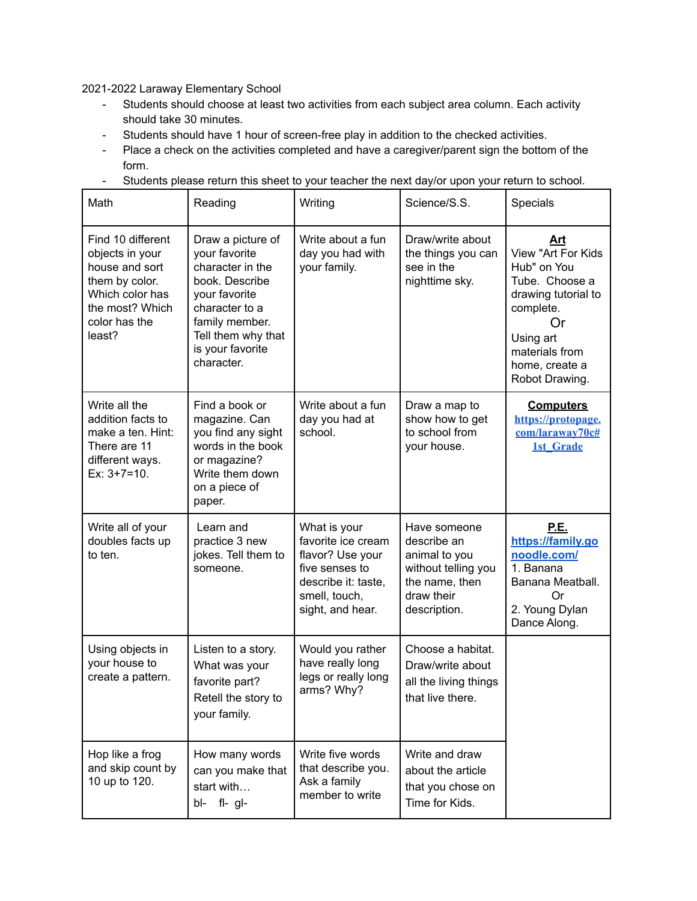2021-2022 Laraway Elementary School

- Students should choose at least two activities from each subject area column. Each activity should take 30 minutes.
- Students should have 1 hour of screen-free play in addition to the checked activities.
- Place a check on the activities completed and have a caregiver/parent sign the bottom of the form.
- Students please return this sheet to your teacher the next day/or upon your return to school.

| Math                                                                                                                                      | Reading                                                                                                                                                                               | Writing                                                                                                                              | Science/S.S.                                                                                                        | Specials                                                                                                                                                                |
|-------------------------------------------------------------------------------------------------------------------------------------------|---------------------------------------------------------------------------------------------------------------------------------------------------------------------------------------|--------------------------------------------------------------------------------------------------------------------------------------|---------------------------------------------------------------------------------------------------------------------|-------------------------------------------------------------------------------------------------------------------------------------------------------------------------|
| Find 10 different<br>objects in your<br>house and sort<br>them by color.<br>Which color has<br>the most? Which<br>color has the<br>least? | Draw a picture of<br>your favorite<br>character in the<br>book. Describe<br>your favorite<br>character to a<br>family member.<br>Tell them why that<br>is your favorite<br>character. | Write about a fun<br>day you had with<br>your family.                                                                                | Draw/write about<br>the things you can<br>see in the<br>nighttime sky.                                              | Art<br>View "Art For Kids<br>Hub" on You<br>Tube. Choose a<br>drawing tutorial to<br>complete.<br>0r<br>Using art<br>materials from<br>home, create a<br>Robot Drawing. |
| Write all the<br>addition facts to<br>make a ten. Hint:<br>There are 11<br>different ways.<br>$Ex: 3+7=10.$                               | Find a book or<br>magazine. Can<br>you find any sight<br>words in the book<br>or magazine?<br>Write them down<br>on a piece of<br>paper.                                              | Write about a fun<br>day you had at<br>school.                                                                                       | Draw a map to<br>show how to get<br>to school from<br>your house.                                                   | <b>Computers</b><br>https://protopage.<br>com/laraway70c#<br><b>1st Grade</b>                                                                                           |
| Write all of your<br>doubles facts up<br>to ten.                                                                                          | Learn and<br>practice 3 new<br>jokes. Tell them to<br>someone.                                                                                                                        | What is your<br>favorite ice cream<br>flavor? Use your<br>five senses to<br>describe it: taste,<br>smell, touch,<br>sight, and hear. | Have someone<br>describe an<br>animal to you<br>without telling you<br>the name, then<br>draw their<br>description. | <u>P.E.</u><br>https://family.go<br>noodle.com/<br>1. Banana<br>Banana Meatball.<br>Or<br>2. Young Dylan<br>Dance Along.                                                |
| Using objects in<br>your house to<br>create a pattern.                                                                                    | Listen to a story.<br>What was your<br>favorite part?<br>Retell the story to<br>your family.                                                                                          | Would you rather<br>have really long<br>legs or really long<br>arms? Why?                                                            | Choose a habitat.<br>Draw/write about<br>all the living things<br>that live there.                                  |                                                                                                                                                                         |
| Hop like a frog<br>and skip count by<br>10 up to 120.                                                                                     | How many words<br>can you make that<br>start with<br>$fl-gl-$<br>bl-                                                                                                                  | Write five words<br>that describe you.<br>Ask a family<br>member to write                                                            | Write and draw<br>about the article<br>that you chose on<br>Time for Kids.                                          |                                                                                                                                                                         |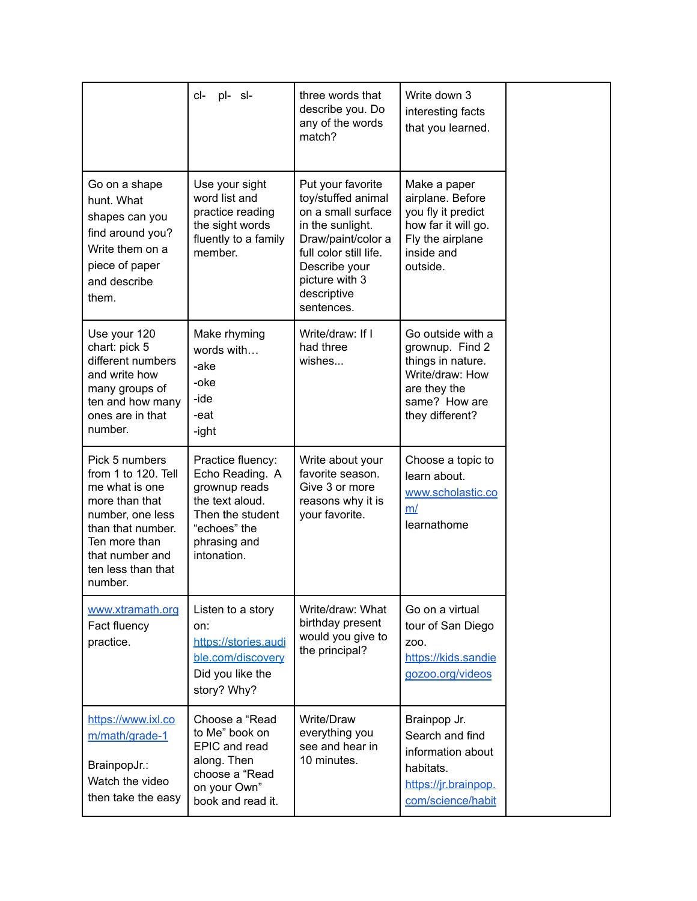|                                                                                                                                                                                         | pl- sl-<br>cl-                                                                                                                              | three words that<br>describe you. Do<br>any of the words<br>match?                                                                                                                                | Write down 3<br>interesting facts<br>that you learned.                                                                           |  |
|-----------------------------------------------------------------------------------------------------------------------------------------------------------------------------------------|---------------------------------------------------------------------------------------------------------------------------------------------|---------------------------------------------------------------------------------------------------------------------------------------------------------------------------------------------------|----------------------------------------------------------------------------------------------------------------------------------|--|
| Go on a shape<br>hunt. What<br>shapes can you<br>find around you?<br>Write them on a<br>piece of paper<br>and describe<br>them.                                                         | Use your sight<br>word list and<br>practice reading<br>the sight words<br>fluently to a family<br>member.                                   | Put your favorite<br>toy/stuffed animal<br>on a small surface<br>in the sunlight.<br>Draw/paint/color a<br>full color still life.<br>Describe your<br>picture with 3<br>descriptive<br>sentences. | Make a paper<br>airplane. Before<br>you fly it predict<br>how far it will go.<br>Fly the airplane<br>inside and<br>outside.      |  |
| Use your 120<br>chart: pick 5<br>different numbers<br>and write how<br>many groups of<br>ten and how many<br>ones are in that<br>number.                                                | Make rhyming<br>words with<br>-ake<br>-oke<br>-ide<br>-eat<br>-ight                                                                         | Write/draw: If I<br>had three<br>wishes                                                                                                                                                           | Go outside with a<br>grownup. Find 2<br>things in nature.<br>Write/draw: How<br>are they the<br>same? How are<br>they different? |  |
| Pick 5 numbers<br>from 1 to 120. Tell<br>me what is one<br>more than that<br>number, one less<br>than that number.<br>Ten more than<br>that number and<br>ten less than that<br>number. | Practice fluency:<br>Echo Reading. A<br>grownup reads<br>the text aloud.<br>Then the student<br>"echoes" the<br>phrasing and<br>intonation. | Write about your<br>favorite season.<br>Give 3 or more<br>reasons why it is<br>your favorite.                                                                                                     | Choose a topic to<br>learn about.<br>www.scholastic.co<br>m/<br>learnathome                                                      |  |
| www.xtramath.org<br>Fact fluency<br>practice.                                                                                                                                           | Listen to a story<br>on:<br>https://stories.audi<br>ble.com/discovery<br>Did you like the<br>story? Why?                                    | Write/draw: What<br>birthday present<br>would you give to<br>the principal?                                                                                                                       | Go on a virtual<br>tour of San Diego<br>Z00.<br>https://kids.sandie<br>gozoo.org/videos                                          |  |
| https://www.ixl.co<br>m/math/grade-1<br>BrainpopJr.:<br>Watch the video<br>then take the easy                                                                                           | Choose a "Read<br>to Me" book on<br>EPIC and read<br>along. Then<br>choose a "Read<br>on your Own"<br>book and read it.                     | Write/Draw<br>everything you<br>see and hear in<br>10 minutes.                                                                                                                                    | Brainpop Jr.<br>Search and find<br>information about<br>habitats.<br>https://jr.brainpop.<br>com/science/habit                   |  |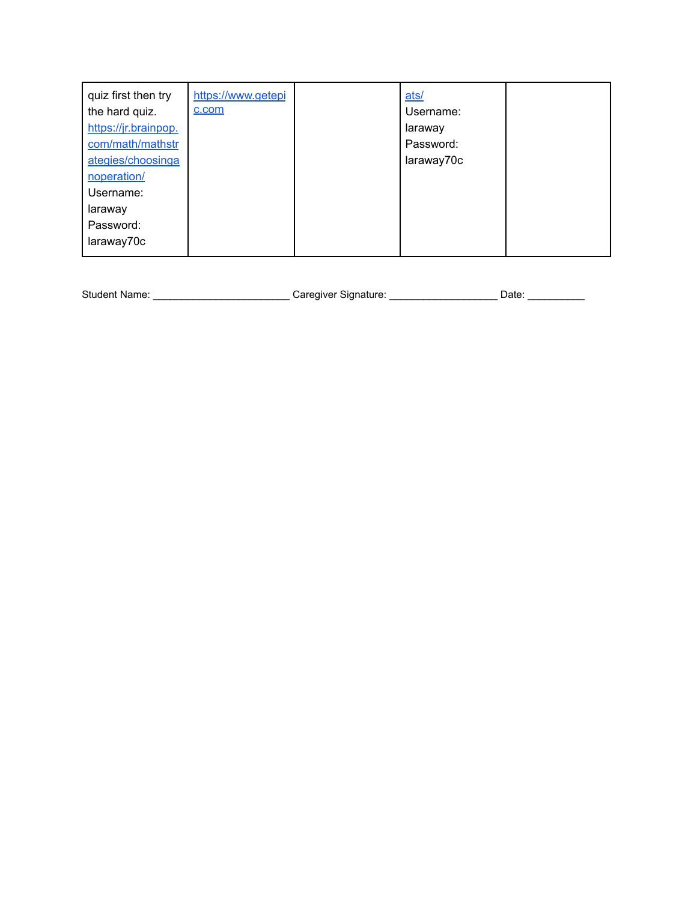| quiz first then try<br>the hard quiz.<br>https://jr.brainpop.<br>com/math/mathstr<br>ategies/choosinga<br>noperation/<br>Username:<br>laraway | https://www.getepi<br>c.com | ats/<br>Username:<br>laraway<br>Password:<br>laraway70c |  |
|-----------------------------------------------------------------------------------------------------------------------------------------------|-----------------------------|---------------------------------------------------------|--|
|                                                                                                                                               |                             |                                                         |  |
| Password:                                                                                                                                     |                             |                                                         |  |
| laraway70c                                                                                                                                    |                             |                                                         |  |

Student Name: \_\_\_\_\_\_\_\_\_\_\_\_\_\_\_\_\_\_\_\_\_\_\_\_\_\_\_\_\_\_Caregiver Signature: \_\_\_\_\_\_\_\_\_\_\_\_\_\_\_\_\_\_\_\_\_\_\_Date: \_\_\_\_\_\_\_\_\_\_\_\_\_\_\_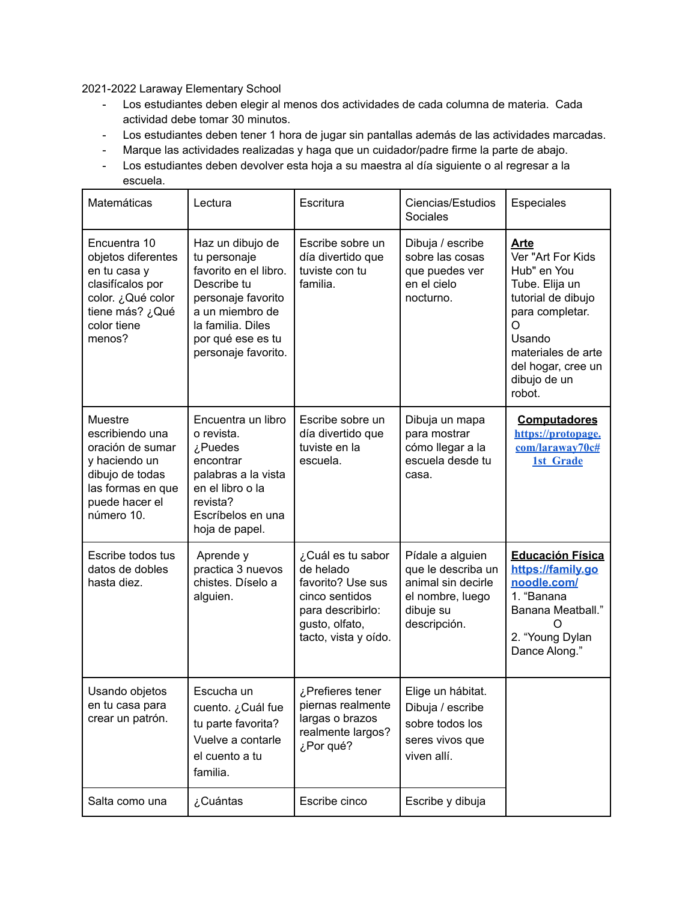2021-2022 Laraway Elementary School

- Los estudiantes deben elegir al menos dos actividades de cada columna de materia. Cada actividad debe tomar 30 minutos.
- Los estudiantes deben tener 1 hora de jugar sin pantallas además de las actividades marcadas.
- Marque las actividades realizadas y haga que un cuidador/padre firme la parte de abajo.
- Los estudiantes deben devolver esta hoja a su maestra al día siguiente o al regresar a la escuela.

| Matemáticas                                                                                                                             | Lectura                                                                                                                                                                            | Escritura                                                                                                                            | Ciencias/Estudios<br>Sociales                                                                                 | Especiales                                                                                                                                                                                      |
|-----------------------------------------------------------------------------------------------------------------------------------------|------------------------------------------------------------------------------------------------------------------------------------------------------------------------------------|--------------------------------------------------------------------------------------------------------------------------------------|---------------------------------------------------------------------------------------------------------------|-------------------------------------------------------------------------------------------------------------------------------------------------------------------------------------------------|
| Encuentra 10<br>objetos diferentes<br>en tu casa y<br>clasifícalos por<br>color. ¿Qué color<br>tiene más? ¿Qué<br>color tiene<br>menos? | Haz un dibujo de<br>tu personaje<br>favorito en el libro.<br>Describe tu<br>personaje favorito<br>a un miembro de<br>la familia. Diles<br>por qué ese es tu<br>personaje favorito. | Escribe sobre un<br>día divertido que<br>tuviste con tu<br>familia.                                                                  | Dibuja / escribe<br>sobre las cosas<br>que puedes ver<br>en el cielo<br>nocturno.                             | <b>Arte</b><br>Ver "Art For Kids<br>Hub" en You<br>Tube. Elija un<br>tutorial de dibujo<br>para completar.<br>∩<br>Usando<br>materiales de arte<br>del hogar, cree un<br>dibujo de un<br>robot. |
| Muestre<br>escribiendo una<br>oración de sumar<br>y haciendo un<br>dibujo de todas<br>las formas en que<br>puede hacer el<br>número 10. | Encuentra un libro<br>o revista.<br>¿Puedes<br>encontrar<br>palabras a la vista<br>en el libro o la<br>revista?<br>Escríbelos en una<br>hoja de papel.                             | Escribe sobre un<br>día divertido que<br>tuviste en la<br>escuela.                                                                   | Dibuja un mapa<br>para mostrar<br>cómo llegar a la<br>escuela desde tu<br>casa.                               | <b>Computadores</b><br>https://protopage.<br>com/laraway70c#<br><b>1st Grade</b>                                                                                                                |
| Escribe todos tus<br>datos de dobles<br>hasta diez.                                                                                     | Aprende y<br>practica 3 nuevos<br>chistes. Díselo a<br>alguien.                                                                                                                    | ¿Cuál es tu sabor<br>de helado<br>favorito? Use sus<br>cinco sentidos<br>para describirlo:<br>gusto, olfato,<br>tacto, vista y oído. | Pídale a alguien<br>que le describa un<br>animal sin decirle<br>el nombre, luego<br>dibuje su<br>descripción. | <b>Educación Física</b><br>https://family.go<br>noodle.com/<br>1. "Banana<br>Banana Meatball."<br>∩<br>2. "Young Dylan<br>Dance Along."                                                         |
| Usando objetos<br>en tu casa para<br>crear un patrón.                                                                                   | Escucha un<br>cuento. ¿Cuál fue<br>tu parte favorita?<br>Vuelve a contarle<br>el cuento a tu<br>familia.                                                                           | ¿Prefieres tener<br>piernas realmente<br>largas o brazos<br>realmente largos?<br>¿Por qué?                                           | Elige un hábitat.<br>Dibuja / escribe<br>sobre todos los<br>seres vivos que<br>viven allí.                    |                                                                                                                                                                                                 |
| Salta como una                                                                                                                          | ¿Cuántas                                                                                                                                                                           | Escribe cinco                                                                                                                        | Escribe y dibuja                                                                                              |                                                                                                                                                                                                 |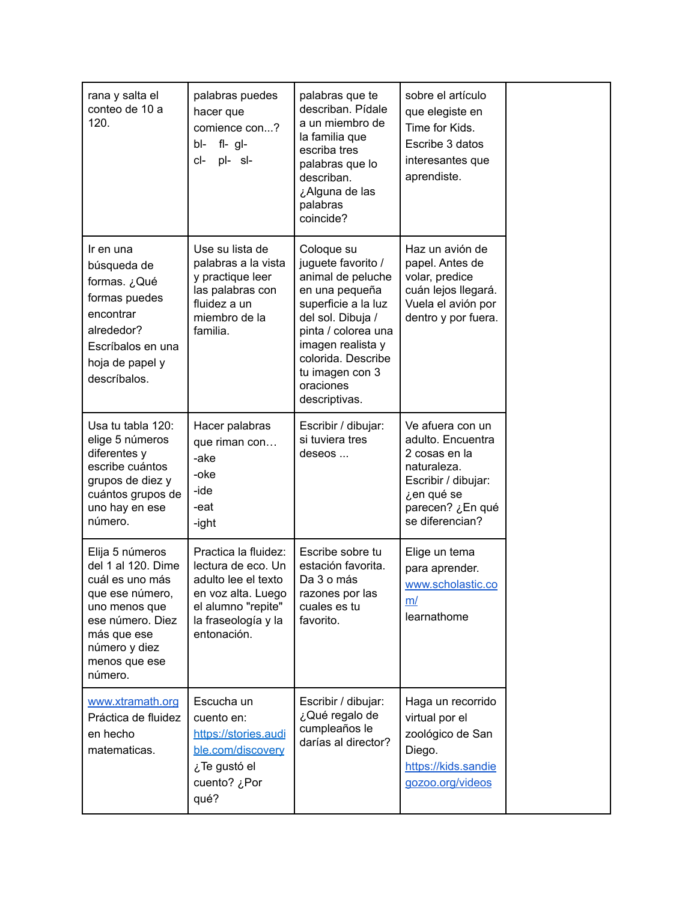| rana y salta el<br>conteo de 10 a<br>120.                                                                                                                                    | palabras puedes<br>hacer que<br>comience con?<br>$fl - gl -$<br>bl-<br>pl- sl-<br>cl-                                                               | palabras que te<br>describan. Pídale<br>a un miembro de<br>la familia que<br>escriba tres<br>palabras que lo<br>describan.<br>¿Alguna de las<br>palabras<br>coincide?                                                                  | sobre el artículo<br>que elegiste en<br>Time for Kids.<br>Escribe 3 datos<br>interesantes que<br>aprendiste.                                      |
|------------------------------------------------------------------------------------------------------------------------------------------------------------------------------|-----------------------------------------------------------------------------------------------------------------------------------------------------|----------------------------------------------------------------------------------------------------------------------------------------------------------------------------------------------------------------------------------------|---------------------------------------------------------------------------------------------------------------------------------------------------|
| Ir en una<br>búsqueda de<br>formas. ¿Qué<br>formas puedes<br>encontrar<br>alrededor?<br>Escríbalos en una<br>hoja de papel y<br>descríbalos.                                 | Use su lista de<br>palabras a la vista<br>y practique leer<br>las palabras con<br>fluidez a un<br>miembro de la<br>familia.                         | Coloque su<br>juguete favorito /<br>animal de peluche<br>en una pequeña<br>superficie a la luz<br>del sol. Dibuja /<br>pinta / colorea una<br>imagen realista y<br>colorida. Describe<br>tu imagen con 3<br>oraciones<br>descriptivas. | Haz un avión de<br>papel. Antes de<br>volar, predice<br>cuán lejos llegará.<br>Vuela el avión por<br>dentro y por fuera.                          |
| Usa tu tabla 120:<br>elige 5 números<br>diferentes y<br>escribe cuántos<br>grupos de diez y<br>cuántos grupos de<br>uno hay en ese<br>número.                                | Hacer palabras<br>que riman con<br>-ake<br>-oke<br>-ide<br>-eat<br>-ight                                                                            | Escribir / dibujar:<br>si tuviera tres<br>deseos                                                                                                                                                                                       | Ve afuera con un<br>adulto. Encuentra<br>2 cosas en la<br>naturaleza.<br>Escribir / dibujar:<br>¿en qué se<br>parecen? ¿En qué<br>se diferencian? |
| Elija 5 números<br>del 1 al 120. Dime<br>cuál es uno más<br>que ese número,<br>uno menos que<br>ese número. Diez<br>más que ese<br>número y diez<br>menos que ese<br>número. | Practica la fluidez:<br>lectura de eco. Un<br>adulto lee el texto<br>en voz alta. Luego<br>el alumno "repite"<br>la fraseología y la<br>entonación. | Escribe sobre tu<br>estación favorita.<br>Da 3 o más<br>razones por las<br>cuales es tu<br>favorito.                                                                                                                                   | Elige un tema<br>para aprender.<br>www.scholastic.co<br><u>m/</u><br>learnathome                                                                  |
| www.xtramath.org<br>Práctica de fluidez<br>en hecho<br>matematicas.                                                                                                          | Escucha un<br>cuento en:<br>https://stories.audi<br>ble.com/discovery<br>¿Te gustó el<br>cuento? ¿Por<br>qué?                                       | Escribir / dibujar:<br>¿Qué regalo de<br>cumpleaños le<br>darías al director?                                                                                                                                                          | Haga un recorrido<br>virtual por el<br>zoológico de San<br>Diego.<br>https://kids.sandie<br>gozoo.org/videos                                      |